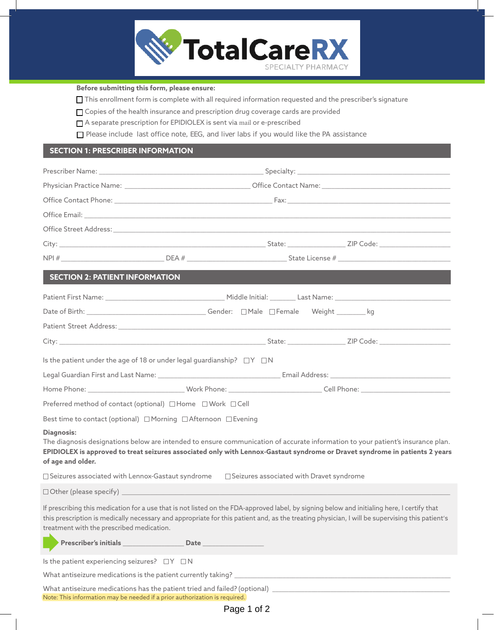

### **Before submitting this form, please ensure:**

- This enrollment form is complete with all required information requested and the prescriber's signature
- Copies of the health insurance and prescription drug coverage cards are provided
- A separate prescription for EPIDIOLEX is sent via mail or e-prescribed

 $\Box$  Please include last office note, EEG, and liver labs if you would like the PA assistance

## **SECTION 1: PRESCRIBER INFORMATION**

|                                |  | $\text{Fax:}\underbrace{\hspace{2.5cm}}_{\text{max}}\underbrace{\hspace{2.5cm}}_{\text{max}}\underbrace{\hspace{2.5cm}}_{\text{max}}$ |  |
|--------------------------------|--|---------------------------------------------------------------------------------------------------------------------------------------|--|
|                                |  |                                                                                                                                       |  |
|                                |  |                                                                                                                                       |  |
|                                |  | State: ZIP Code:                                                                                                                      |  |
|                                |  |                                                                                                                                       |  |
| SECTION 2. DATIENT INFORMATION |  |                                                                                                                                       |  |

## **SECTION 2: PATIENT INFORMATION**

| Date of Birth: ___________________________________Gender: [Male   Female Weight ________ kg                                                                                                                                                                                                                                                |  |                                                                                                                                                                                                                                                                |
|--------------------------------------------------------------------------------------------------------------------------------------------------------------------------------------------------------------------------------------------------------------------------------------------------------------------------------------------|--|----------------------------------------------------------------------------------------------------------------------------------------------------------------------------------------------------------------------------------------------------------------|
|                                                                                                                                                                                                                                                                                                                                            |  |                                                                                                                                                                                                                                                                |
|                                                                                                                                                                                                                                                                                                                                            |  |                                                                                                                                                                                                                                                                |
| Is the patient under the age of 18 or under legal guardianship? $\Box Y \Box N$                                                                                                                                                                                                                                                            |  |                                                                                                                                                                                                                                                                |
|                                                                                                                                                                                                                                                                                                                                            |  |                                                                                                                                                                                                                                                                |
|                                                                                                                                                                                                                                                                                                                                            |  |                                                                                                                                                                                                                                                                |
| Preferred method of contact (optional) □Home □Work □Cell                                                                                                                                                                                                                                                                                   |  |                                                                                                                                                                                                                                                                |
| Best time to contact (optional) □ Morning □ Afternoon □ Evening                                                                                                                                                                                                                                                                            |  |                                                                                                                                                                                                                                                                |
| Diagnosis:<br>of age and older.                                                                                                                                                                                                                                                                                                            |  | The diagnosis designations below are intended to ensure communication of accurate information to your patient's insurance plan.<br>EPIDIOLEX is approved to treat seizures associated only with Lennox-Gastaut syndrome or Dravet syndrome in patients 2 years |
| $\Box$ Seizures associated with Lennox-Gastaut syndrome $\Box$ Seizures associated with Dravet syndrome                                                                                                                                                                                                                                    |  |                                                                                                                                                                                                                                                                |
| $\Box$ Other (please specify) $\Box$ . The contract of the contract of the contract of the contract of the contract of the contract of the contract of the contract of the contract of the contract of the contract of the contra                                                                                                          |  |                                                                                                                                                                                                                                                                |
| If prescribing this medication for a use that is not listed on the FDA-approved label, by signing below and initialing here, I certify that<br>this prescription is medically necessary and appropriate for this patient and, as the treating physician, I will be supervising this patient's<br>treatment with the prescribed medication. |  |                                                                                                                                                                                                                                                                |
| Prescriber's initials _________________________Date ____________________________                                                                                                                                                                                                                                                           |  |                                                                                                                                                                                                                                                                |
| Is the patient experiencing seizures? $\Box Y \Box N$                                                                                                                                                                                                                                                                                      |  |                                                                                                                                                                                                                                                                |
|                                                                                                                                                                                                                                                                                                                                            |  |                                                                                                                                                                                                                                                                |

What antiseizure medications has the patient tried and failed? (optional) Note: This information may be needed if a prior authorization is required.